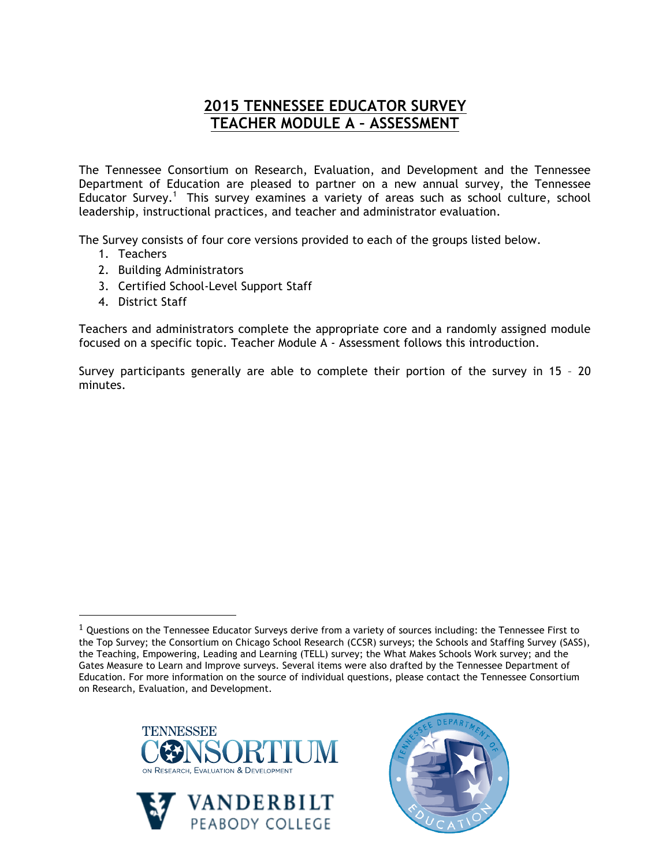# **2015 TENNESSEE EDUCATOR SURVEY TEACHER MODULE A – ASSESSMENT**

The Tennessee Consortium on Research, Evaluation, and Development and the Tennessee Department of Education are pleased to partner on a new annual survey, the Tennessee Educator Survey.<sup>1</sup> This survey examines a variety of areas such as school culture, school leadership, instructional practices, and teacher and administrator evaluation.

The Survey consists of four core versions provided to each of the groups listed below.

- 1. Teachers
- 2. Building Administrators
- 3. Certified School-Level Support Staff
- 4. District Staff

!!!!!!!!!!!!!!!!!!!!!!!!!!!!!!!!!!!!!!!!!!!!!!!!!!!!!!!

Teachers and administrators complete the appropriate core and a randomly assigned module focused on a specific topic. Teacher Module A - Assessment follows this introduction.

Survey participants generally are able to complete their portion of the survey in 15 – 20 minutes.

 $1$  Questions on the Tennessee Educator Surveys derive from a variety of sources including: the Tennessee First to the Top Survey; the Consortium on Chicago School Research (CCSR) surveys; the Schools and Staffing Survey (SASS), the Teaching, Empowering, Leading and Learning (TELL) survey; the What Makes Schools Work survey; and the Gates Measure to Learn and Improve surveys. Several items were also drafted by the Tennessee Department of Education. For more information on the source of individual questions, please contact the Tennessee Consortium on Research, Evaluation, and Development.





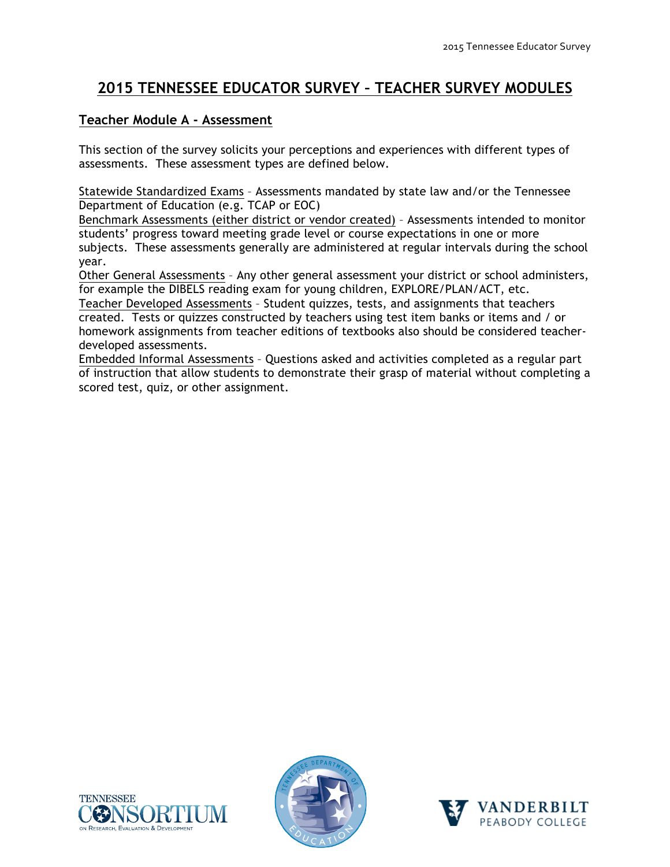# **2015 TENNESSEE EDUCATOR SURVEY – TEACHER SURVEY MODULES**

#### **Teacher Module A - Assessment**

This section of the survey solicits your perceptions and experiences with different types of assessments. These assessment types are defined below.

Statewide Standardized Exams – Assessments mandated by state law and/or the Tennessee Department of Education (e.g. TCAP or EOC)

Benchmark Assessments (either district or vendor created) – Assessments intended to monitor students' progress toward meeting grade level or course expectations in one or more subjects. These assessments generally are administered at regular intervals during the school year.

Other General Assessments – Any other general assessment your district or school administers, for example the DIBELS reading exam for young children, EXPLORE/PLAN/ACT, etc.

Teacher Developed Assessments – Student quizzes, tests, and assignments that teachers created. Tests or quizzes constructed by teachers using test item banks or items and / or homework assignments from teacher editions of textbooks also should be considered teacherdeveloped assessments.

Embedded Informal Assessments – Questions asked and activities completed as a regular part of instruction that allow students to demonstrate their grasp of material without completing a scored test, quiz, or other assignment.





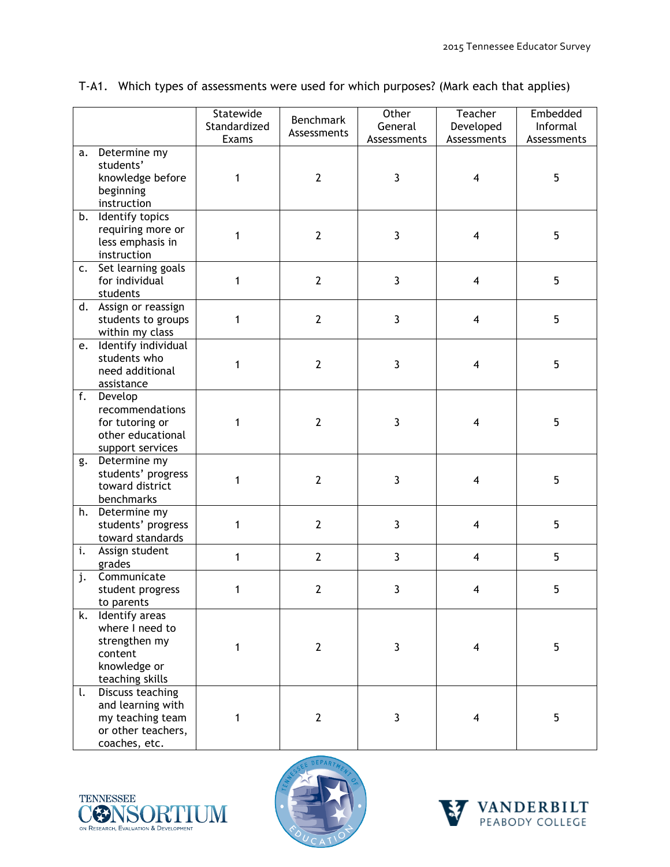|    |                                                                                                         | Statewide<br>Standardized | Benchmark<br>Assessments | Other<br>General | Teacher<br>Developed    | Embedded<br>Informal |
|----|---------------------------------------------------------------------------------------------------------|---------------------------|--------------------------|------------------|-------------------------|----------------------|
|    |                                                                                                         | Exams                     |                          | Assessments      | Assessments             | Assessments          |
| a. | Determine my<br>students'<br>knowledge before<br>beginning<br>instruction                               | 1                         | $\overline{2}$           | $\mathbf{3}$     | $\overline{\mathbf{4}}$ | 5                    |
| b. | Identify topics<br>requiring more or<br>less emphasis in<br>instruction                                 | 1                         | $\overline{2}$           | $\mathbf{3}$     | 4                       | 5                    |
|    | c. Set learning goals<br>for individual<br>students                                                     | 1                         | $\overline{2}$           | $\mathbf{3}$     | $\overline{\mathbf{4}}$ | 5                    |
|    | d. Assign or reassign<br>students to groups<br>within my class                                          | 1                         | $\overline{2}$           | $\mathbf{3}$     | $\overline{\mathbf{4}}$ | 5                    |
|    | e. Identify individual<br>students who<br>need additional<br>assistance                                 | 1                         | $\overline{2}$           | $\mathbf{3}$     | $\overline{\mathbf{4}}$ | 5                    |
| f. | Develop<br>recommendations<br>for tutoring or<br>other educational<br>support services                  | 1                         | $\overline{2}$           | $\mathbf{3}$     | $\overline{4}$          | 5                    |
| g. | Determine my<br>students' progress<br>toward district<br>benchmarks                                     | $\mathbf{1}$              | $\overline{2}$           | $\mathbf{3}$     | $\overline{4}$          | 5                    |
| h. | Determine my<br>students' progress<br>toward standards                                                  | 1                         | $\overline{2}$           | $\mathbf{3}$     | $\overline{4}$          | 5                    |
| i. | Assign student<br>grades                                                                                | 1                         | $\mathbf{2}$             | $\mathbf{3}$     | 4                       | 5                    |
| j. | Communicate<br>student progress<br>to parents                                                           | 1                         | $\overline{2}$           | 3                | 4                       | 5                    |
| k. | Identify areas<br>where I need to<br>strengthen my<br>content<br>knowledge or<br>teaching skills        | 1                         | $\mathbf{2}$             | $\mathbf{3}$     | 4                       | 5                    |
| t. | <b>Discuss teaching</b><br>and learning with<br>my teaching team<br>or other teachers,<br>coaches, etc. | 1                         | $\overline{2}$           | $\mathbf{3}$     | 4                       | 5                    |

### T-A1. Which types of assessments were used for which purposes? (Mark each that applies)





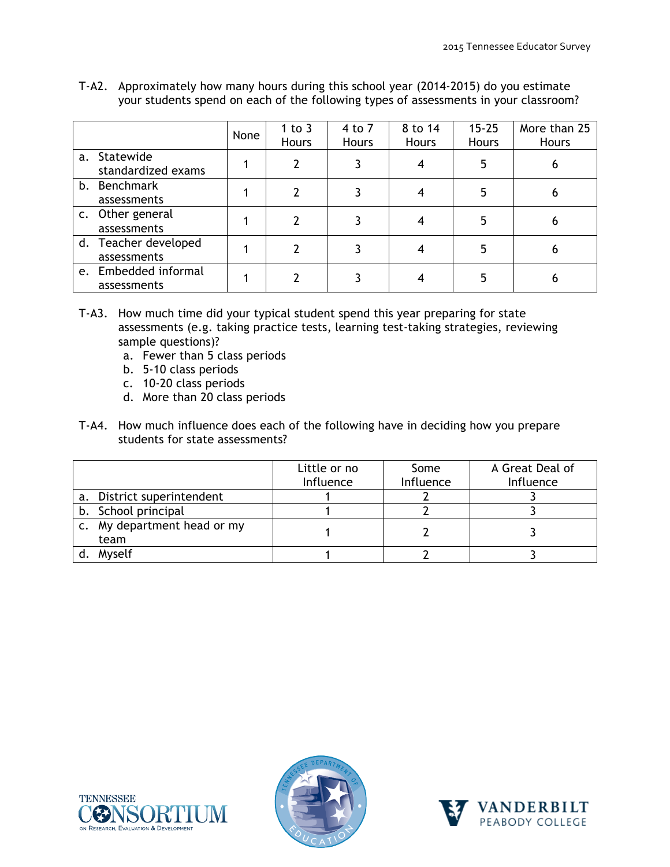|                                     | None | 1 to $3$<br><b>Hours</b> | 4 to 7<br><b>Hours</b> | 8 to 14<br>Hours | $15 - 25$<br>Hours | More than 25<br><b>Hours</b> |
|-------------------------------------|------|--------------------------|------------------------|------------------|--------------------|------------------------------|
| a. Statewide<br>standardized exams  |      | 2                        |                        |                  | 5                  | 6                            |
| b. Benchmark<br>assessments         |      | 2                        |                        |                  | 5                  |                              |
| c. Other general<br>assessments     |      | 2                        |                        |                  | 5                  | 6                            |
| d. Teacher developed<br>assessments |      | 2                        |                        |                  | 5                  | 6                            |
| e. Embedded informal<br>assessments |      |                          |                        |                  | 5                  | 6                            |

T-A2. Approximately how many hours during this school year (2014-2015) do you estimate your students spend on each of the following types of assessments in your classroom?

- T-A3. How much time did your typical student spend this year preparing for state assessments (e.g. taking practice tests, learning test-taking strategies, reviewing sample questions)?
	- a. Fewer than 5 class periods
	- b. 5-10 class periods
	- c. 10-20 class periods
	- d. More than 20 class periods
- T-A4. How much influence does each of the following have in deciding how you prepare students for state assessments?

|                                                    | Little or no<br>Influence | Some<br>Influence | A Great Deal of<br>Influence |
|----------------------------------------------------|---------------------------|-------------------|------------------------------|
| District superintendent<br>a.                      |                           |                   |                              |
| b. School principal                                |                           |                   |                              |
| My department head or my<br>$\mathsf{c}$ .<br>team |                           |                   |                              |
| Myself                                             |                           |                   |                              |





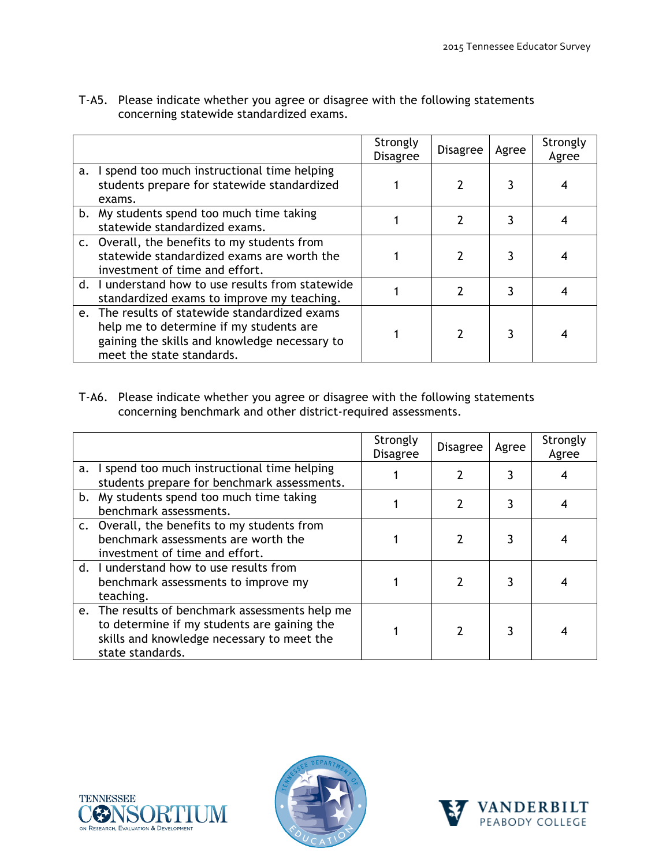|                                                                                                                                                                         | Strongly<br><b>Disagree</b> | <b>Disagree</b> | Agree | Strongly<br>Agree |
|-------------------------------------------------------------------------------------------------------------------------------------------------------------------------|-----------------------------|-----------------|-------|-------------------|
| a. I spend too much instructional time helping<br>students prepare for statewide standardized<br>exams.                                                                 |                             |                 |       |                   |
| b. My students spend too much time taking<br>statewide standardized exams.                                                                                              |                             |                 | 3     |                   |
| c. Overall, the benefits to my students from<br>statewide standardized exams are worth the<br>investment of time and effort.                                            |                             |                 |       |                   |
| d. I understand how to use results from statewide<br>standardized exams to improve my teaching.                                                                         |                             |                 | ٦     |                   |
| e. The results of statewide standardized exams<br>help me to determine if my students are<br>gaining the skills and knowledge necessary to<br>meet the state standards. |                             |                 |       |                   |

T-A5. Please indicate whether you agree or disagree with the following statements concerning statewide standardized exams.

T-A6. Please indicate whether you agree or disagree with the following statements concerning benchmark and other district-required assessments.

|    |                                                                                                                                                                  | Strongly<br><b>Disagree</b> | <b>Disagree</b> | Agree | Strongly<br>Agree |
|----|------------------------------------------------------------------------------------------------------------------------------------------------------------------|-----------------------------|-----------------|-------|-------------------|
| a. | I spend too much instructional time helping<br>students prepare for benchmark assessments.                                                                       |                             |                 | 3     |                   |
|    | b. My students spend too much time taking<br>benchmark assessments.                                                                                              |                             |                 | 3     |                   |
|    | c. Overall, the benefits to my students from<br>benchmark assessments are worth the<br>investment of time and effort.                                            |                             |                 |       |                   |
|    | d. I understand how to use results from<br>benchmark assessments to improve my<br>teaching.                                                                      |                             |                 |       |                   |
|    | e. The results of benchmark assessments help me<br>to determine if my students are gaining the<br>skills and knowledge necessary to meet the<br>state standards. |                             |                 | 3     |                   |